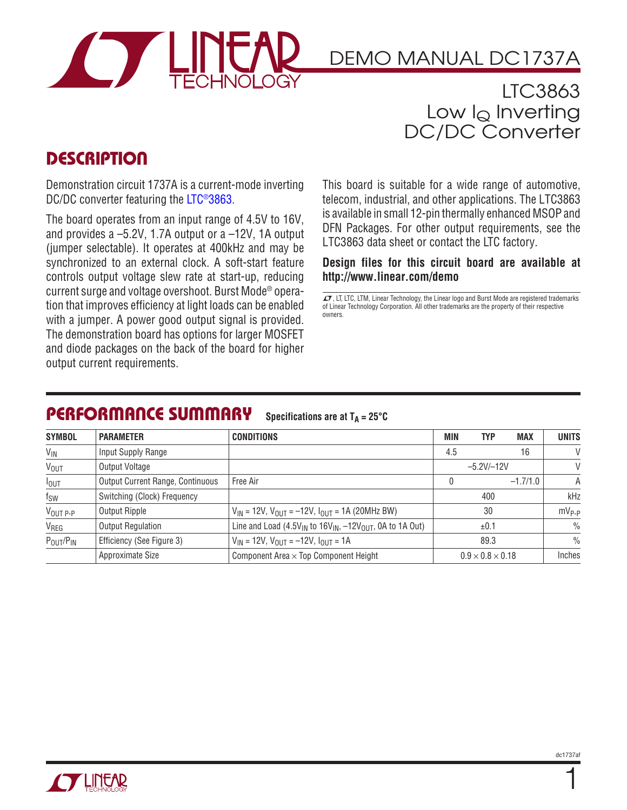

# DEMO MANUAL DC1737A

LTC3863 Low  $I_{\mathsf{Q}}$  Inverting DC/DC Converter

### **DESCRIPTION**

Demonstration circuit 1737A is a current-mode inverting DC/DC converter featuring the [LTC®3863.](http://www.linear.com/LTC3863)

The board operates from an input range of 4.5V to 16V, and provides a –5.2V, 1.7A output or a –12V, 1A output (jumper selectable). It operates at 400kHz and may be synchronized to an external clock. A soft-start feature controls output voltage slew rate at start-up, reducing current surge and voltage overshoot. Burst Mode® operation that improves efficiency at light loads can be enabled with a jumper. A power good output signal is provided. The demonstration board has options for larger MOSFET and diode packages on the back of the board for higher output current requirements.

This board is suitable for a wide range of automotive, telecom, industrial, and other applications. The LTC3863 is available in small 12-pin thermally enhanced MSOP and DFN Packages. For other output requirements, see the LTC3863 data sheet or contact the LTC factory.

#### **Design files for this circuit board are available at <http://www.linear.com/demo>**

 $I$ , LT, LTC, LTM, Linear Technology, the Linear logo and Burst Mode are registered trademarks of Linear Technology Corporation. All other trademarks are the property of their respective owners.

#### PERFORMANCE SUMMARY **Specifications** are at  $T_A = 25^\circ C$

| <b>SYMBOL</b>    | <b>PARAMETER</b>                 | <b>CONDITIONS</b>                                                        | MIN                          | <b>TYP</b> | <b>MAX</b>    | <b>UNITS</b>  |
|------------------|----------------------------------|--------------------------------------------------------------------------|------------------------------|------------|---------------|---------------|
| $V_{IN}$         | Input Supply Range               |                                                                          | 4.5                          |            | 16            | $\vee$        |
| VOUT             | Output Voltage                   |                                                                          | $-5.2V/-12V$                 |            |               | $\vee$        |
| $I_{OUT}$        | Output Current Range, Continuous | Free Air                                                                 |                              |            | $-1.7/1.0$    | A             |
| $f_{SW}$         | Switching (Clock) Frequency      |                                                                          |                              | 400        |               | kHz           |
| VOUT P-P         | Output Ripple                    | $V_{IN}$ = 12V, $V_{OUT}$ = -12V, $I_{OUT}$ = 1A (20MHz BW)              | 30                           |            | $mV_{P-P}$    |               |
| V <sub>REG</sub> | <b>Output Regulation</b>         | Line and Load $(4.5V_{IN}$ to $16V_{IN}$ , $-12V_{OIII}$ , OA to 1A Out) | ±0.1                         |            | $\frac{0}{0}$ |               |
| $P_{OUT}/P_{IN}$ | Efficiency (See Figure 3)        | $V_{IN}$ = 12V, $V_{OUT}$ = -12V, $I_{OUT}$ = 1A                         |                              | 89.3       |               | $\frac{0}{0}$ |
|                  | Approximate Size                 | Component Area $\times$ Top Component Height                             | $0.9 \times 0.8 \times 0.18$ |            |               | Inches        |

1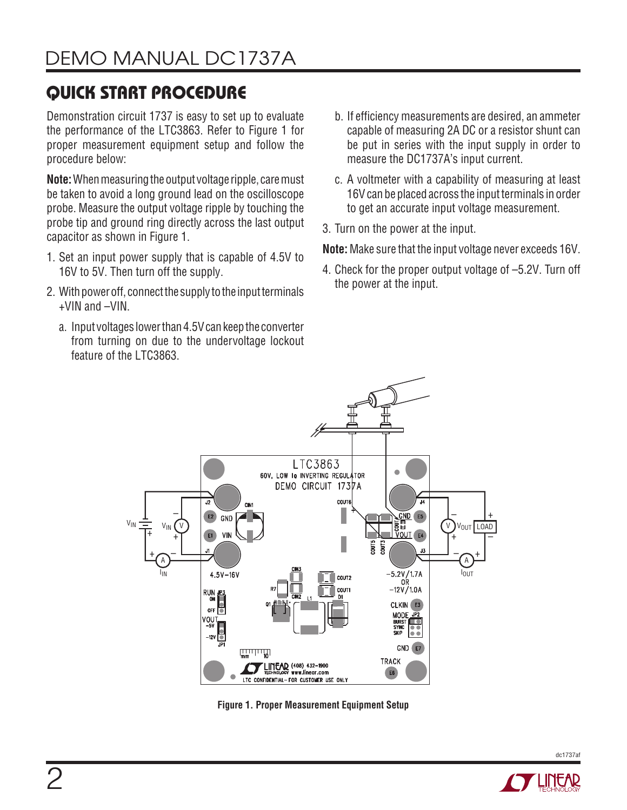# QUICK START PROCEDURE

Demonstration circuit 1737 is easy to set up to evaluate the performance of the LTC3863. Refer to Figure 1 for proper measurement equipment setup and follow the procedure below:

**Note:** When measuring the output voltage ripple, care must be taken to avoid a long ground lead on the oscilloscope probe. Measure the output voltage ripple by touching the probe tip and ground ring directly across the last output capacitor as shown in Figure 1.

- 1. Set an input power supply that is capable of 4.5V to 16V to 5V. Then turn off the supply.
- 2. With power off, connect the supply to the input terminals +VIN and –VIN.
	- a. Input voltages lower than 4.5V can keep the converter from turning on due to the undervoltage lockout feature of the LTC3863.
- b. If efficiency measurements are desired, an ammeter capable of measuring 2A DC or a resistor shunt can be put in series with the input supply in order to measure the DC1737A's input current.
- c. A voltmeter with a capability of measuring at least 16V can be placed across the input terminals in order to get an accurate input voltage measurement.
- 3. Turn on the power at the input.

**Note:** Make sure that the input voltage never exceeds 16V.

4. Check for the proper output voltage of –5.2V. Turn off the power at the input.





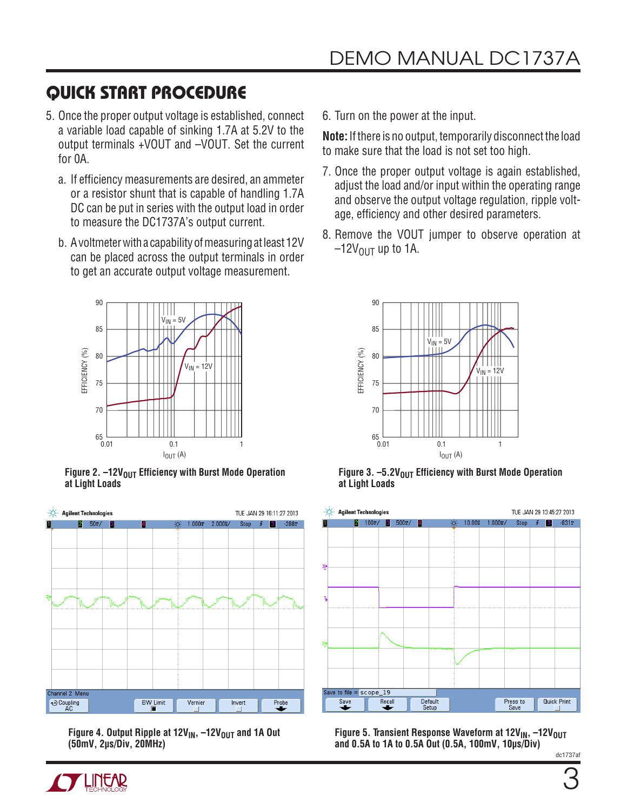# QUICK START PROCEDURE

- 5. Once the proper output voltage is established, connect a variable load capable of sinking 1.7A at 5.2V to the output terminals +VOUT and –VOUT. Set the current for 0A.
	- a. If efficiency measurements are desired, an ammeter or a resistor shunt that is capable of handling 1.7A DC can be put in series with the output load in order to measure the DC1737A's output current.
	- b. A voltmeter with a capability of measuring at least 12V can be placed across the output terminals in order to get an accurate output voltage measurement.



**Figure 2. –12V<sub>OUT</sub> Efficiency** with Burst Mode Operation **at Light Loads**



**Figure 4. Output Ripple at 12V<sub>IN</sub>, -12V<sub>OUT</sub> and 1A Out (50mV, 2µs/Div, 20MHz)**

6. Turn on the power at the input.

**Note:** Ifthere is no output, temporarily disconnect the load to make sure that the load is not set too high.

- 7. Once the proper output voltage is again established, adjust the load and/or input within the operating range and observe the output voltage regulation, ripple voltage, efficiency and other desired parameters.
- 8. Remove the VOUT jumper to observe operation at  $-12V_{\text{OUT}}$  up to 1A.



**Figure 3. –5.2V**<sub>OUT</sub> Efficiency with Burst Mode Operation **at Light Loads**



**Figure 5. Transient Response Waveform at 12V<sub>IN</sub>, -12V<sub>OUT</sub> and 0.5A to 1A to 0.5A Out (0.5A, 100mV, 10µs/Div)**

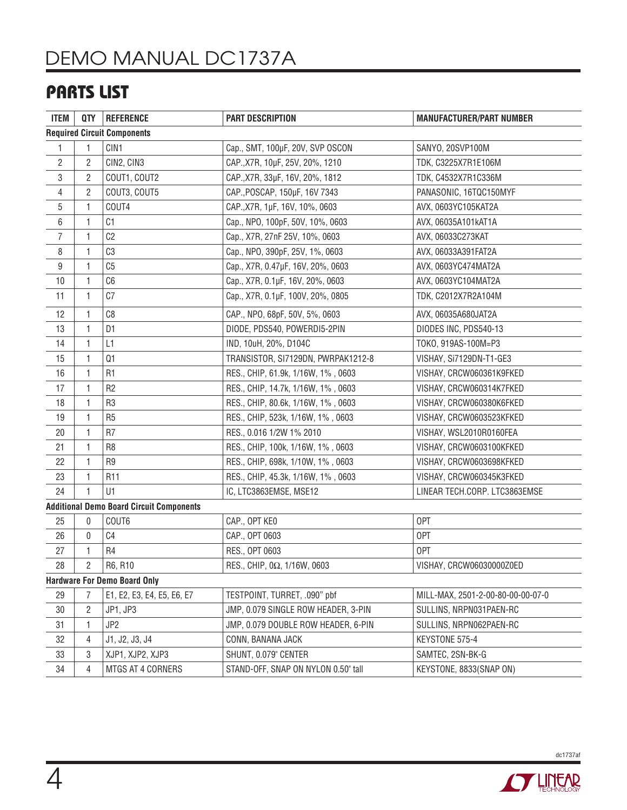# DEMO MANUAL DC1737A

### PARTS LIST

| <b>ITEM</b>                                     | QTY            | <b>REFERENCE</b>                    | <b>PART DESCRIPTION</b>             | <b>MANUFACTURER/PART NUMBER</b>   |  |  |  |  |  |
|-------------------------------------------------|----------------|-------------------------------------|-------------------------------------|-----------------------------------|--|--|--|--|--|
| <b>Required Circuit Components</b>              |                |                                     |                                     |                                   |  |  |  |  |  |
| 1                                               | 1              | CIN1                                | Cap., SMT, 100µF, 20V, SVP OSCON    | SANYO, 20SVP100M                  |  |  |  |  |  |
| $\overline{2}$                                  | 2              | CIN2, CIN3                          | CAP., X7R, 10µF, 25V, 20%, 1210     | TDK, C3225X7R1E106M               |  |  |  |  |  |
| $\mathfrak{S}$                                  | $\overline{2}$ | COUT1, COUT2                        | CAP., X7R, 33µF, 16V, 20%, 1812     | TDK, C4532X7R1C336M               |  |  |  |  |  |
| $\overline{4}$                                  | $\overline{2}$ | COUT3, COUT5                        | CAP., POSCAP, 150µF, 16V 7343       | PANASONIC, 16TQC150MYF            |  |  |  |  |  |
| $\sqrt{5}$                                      | 1              | COUT4                               | CAP., X7R, 1µF, 16V, 10%, 0603      | AVX, 0603YC105KAT2A               |  |  |  |  |  |
| $\,6\,$                                         | 1              | C <sub>1</sub>                      | Cap., NPO, 100pF, 50V, 10%, 0603    | AVX, 06035A101kAT1A               |  |  |  |  |  |
| $\overline{7}$                                  | $\mathbf{1}$   | C <sub>2</sub>                      | Cap., X7R, 27nF 25V, 10%, 0603      | AVX, 06033C273KAT                 |  |  |  |  |  |
| 8                                               | $\mathbf{1}$   | C3                                  | Cap., NPO, 390pF, 25V, 1%, 0603     | AVX, 06033A391FAT2A               |  |  |  |  |  |
| $9\,$                                           | 1              | C <sub>5</sub>                      | Cap., X7R, 0.47µF, 16V, 20%, 0603   | AVX, 0603YC474MAT2A               |  |  |  |  |  |
| 10                                              | 1              | C6                                  | Cap., X7R, 0.1µF, 16V, 20%, 0603    | AVX, 0603YC104MAT2A               |  |  |  |  |  |
| 11                                              | $\mathbf{1}$   | C <sub>7</sub>                      | Cap., X7R, 0.1µF, 100V, 20%, 0805   | TDK, C2012X7R2A104M               |  |  |  |  |  |
| 12                                              | 1              | C8                                  | CAP., NPO, 68pF, 50V, 5%, 0603      | AVX, 06035A680JAT2A               |  |  |  |  |  |
| 13                                              | 1              | D1                                  | DIODE, PDS540, POWERDI5-2PIN        | DIODES INC, PDS540-13             |  |  |  |  |  |
| 14                                              | 1              | L1                                  | IND, 10uH, 20%, D104C               | TOKO, 919AS-100M=P3               |  |  |  |  |  |
| 15                                              | 1              | Q1                                  | TRANSISTOR, SI7129DN, PWRPAK1212-8  | VISHAY, Si7129DN-T1-GE3           |  |  |  |  |  |
| 16                                              | 1              | R <sub>1</sub>                      | RES., CHIP, 61.9k, 1/16W, 1%, 0603  | VISHAY, CRCW060361K9FKED          |  |  |  |  |  |
| 17                                              | 1              | R <sub>2</sub>                      | RES., CHIP, 14.7k, 1/16W, 1%, 0603  | VISHAY, CRCW060314K7FKED          |  |  |  |  |  |
| 18                                              | 1              | R <sub>3</sub>                      | RES., CHIP, 80.6k, 1/16W, 1%, 0603  | VISHAY, CRCW060380K6FKED          |  |  |  |  |  |
| 19                                              | 1              | R <sub>5</sub>                      | RES., CHIP, 523k, 1/16W, 1%, 0603   | VISHAY, CRCW0603523KFKED          |  |  |  |  |  |
| 20                                              | 1              | R7                                  | RES., 0.016 1/2W 1% 2010            | VISHAY, WSL2010R0160FEA           |  |  |  |  |  |
| 21                                              | 1              | R <sub>8</sub>                      | RES., CHIP, 100k, 1/16W, 1%, 0603   | VISHAY, CRCW0603100KFKED          |  |  |  |  |  |
| 22                                              | 1              | R <sub>9</sub>                      | RES., CHIP, 698k, 1/10W, 1%, 0603   | VISHAY, CRCW0603698KFKED          |  |  |  |  |  |
| 23                                              | 1              | R11                                 | RES., CHIP, 45.3k, 1/16W, 1%, 0603  | VISHAY, CRCW060345K3FKED          |  |  |  |  |  |
| 24                                              | $\mathbf{1}$   | U1                                  | IC, LTC3863EMSE, MSE12              | LINEAR TECH.CORP. LTC3863EMSE     |  |  |  |  |  |
| <b>Additional Demo Board Circuit Components</b> |                |                                     |                                     |                                   |  |  |  |  |  |
| 25                                              | 0              | COUT6                               | CAP., OPT KEO                       | 0PT                               |  |  |  |  |  |
| 26                                              | 0              | C4                                  | CAP., OPT 0603                      | 0PT                               |  |  |  |  |  |
| 27                                              | 1              | R4                                  | RES., OPT 0603                      | 0PT                               |  |  |  |  |  |
| 28                                              | $\overline{2}$ | R6, R10                             | RES., CHIP, 0Ω, 1/16W, 0603         | VISHAY, CRCW06030000Z0ED          |  |  |  |  |  |
|                                                 |                | <b>Hardware For Demo Board Only</b> |                                     |                                   |  |  |  |  |  |
| 29                                              | 7              | E1, E2, E3, E4, E5, E6, E7          | TESTPOINT, TURRET, .090" pbf        | MILL-MAX, 2501-2-00-80-00-00-07-0 |  |  |  |  |  |
| 30                                              | 2              | JP1, JP3                            | JMP, 0.079 SINGLE ROW HEADER, 3-PIN | SULLINS, NRPN031PAEN-RC           |  |  |  |  |  |
| 31                                              | 1              | JP <sub>2</sub>                     | JMP, 0.079 DOUBLE ROW HEADER, 6-PIN | SULLINS, NRPN062PAEN-RC           |  |  |  |  |  |
| 32                                              | 4              | J1, J2, J3, J4                      | CONN, BANANA JACK                   | KEYSTONE 575-4                    |  |  |  |  |  |
| 33                                              | 3              | XJP1, XJP2, XJP3                    | SHUNT, 0.079" CENTER                | SAMTEC, 2SN-BK-G                  |  |  |  |  |  |
| 34                                              | 4              | MTGS AT 4 CORNERS                   | STAND-OFF, SNAP ON NYLON 0.50" tall | KEYSTONE, 8833(SNAP ON)           |  |  |  |  |  |

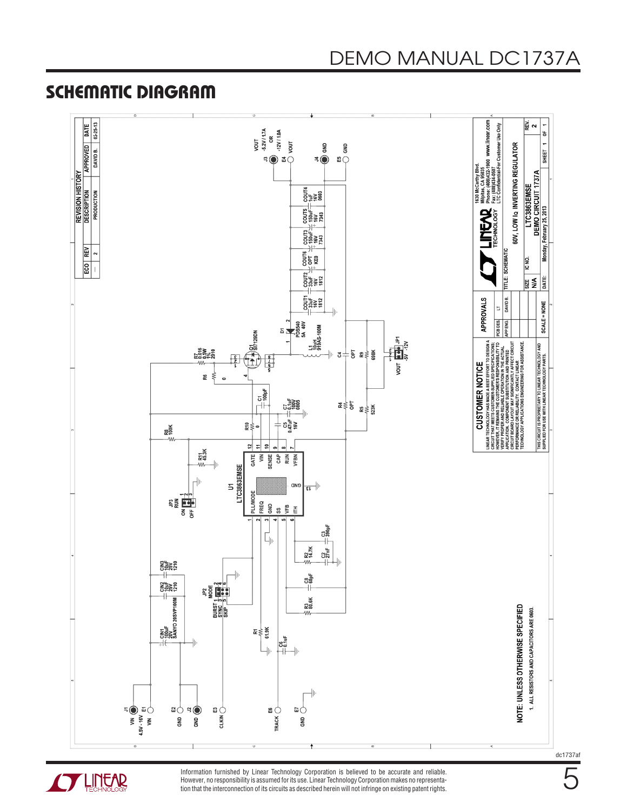#### SCHEMATIC DIAGRAM



**STARTED LINEAR** 

Information furnished by Linear Technology Corporation is believed to be accurate and reliable. However, no responsibility is assumed for its use. Linear Technology Corporation makes no representation that the interconnection of its circuits as described herein will not infringe on existing patent rights. dc1737af

5